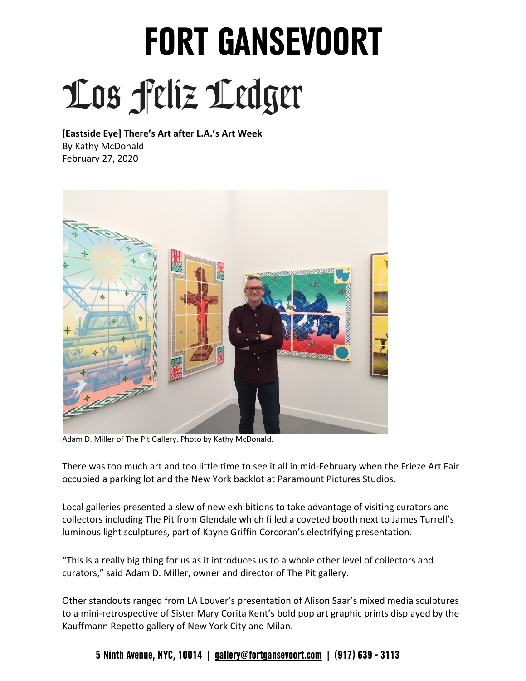## **FORT GANSEVOORT**  Los feliz Ledger

 **[Eastside Eye] There's Art after L.A.'s Art Week**  By Kathy McDonald February 27, 2020



Adam D. Miller of The Pit Gallery. Photo by Kathy McDonald.

 There was too much art and too little time to see it all in mid-February when the Frieze Art Fair occupied a parking lot and the New York backlot at Paramount Pictures Studios.

 Local galleries presented a slew of new exhibitions to take advantage of visiting curators and collectors including The Pit from Glendale which filled a coveted booth next to James Turrell's luminous light sculptures, part of Kayne Griffin Corcoran's electrifying presentation.

 "This is a really big thing for us as it introduces us to a whole other level of collectors and curators," said Adam D. Miller, owner and director of The Pit gallery.

 Other standouts ranged from LA Louver's presentation of Alison Saar's mixed media sculptures to a mini-retrospective of Sister Mary Corita Kent's bold pop art graphic prints displayed by the Kauffmann Repetto gallery of New York City and Milan.